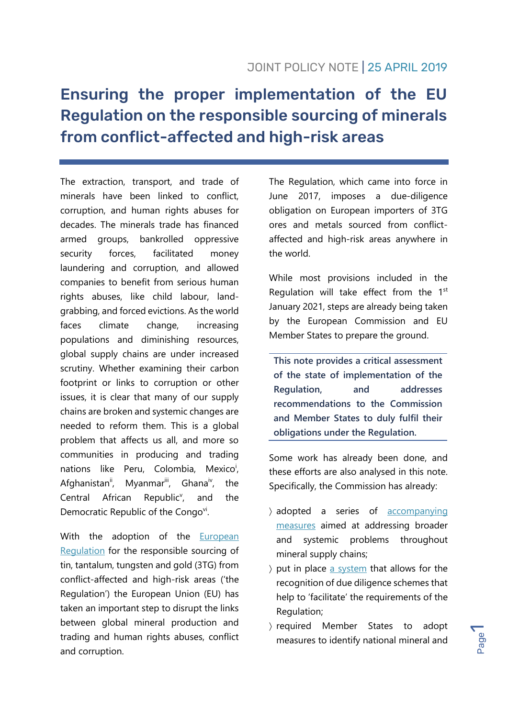# Ensuring the proper implementation of the EU Regulation on the responsible sourcing of minerals from conflict-affected and high-risk areas

The extraction, transport, and trade of minerals have been linked to conflict, corruption, and human rights abuses for decades. The minerals trade has financed armed groups, bankrolled oppressive security forces, facilitated money laundering and corruption, and allowed companies to benefit from serious human rights abuses, like child labour, landgrabbing, and forced evictions. As the world faces climate change, increasing populations and diminishing resources, global supply chains are under increased scrutiny. Whether examining their carbon footprint or links to corruption or other issues, it is clear that many of our supply chains are broken and systemic changes are needed to reform them. This is a global problem that affects us all, and more so communities in producing and trading nations like Peru, Colombia, Mexico<sup>i</sup>, Afghanistan<sup>ii</sup>, Myanmar<sup>iii</sup>, Ghana<sup>iv</sup> , the Central African Republic<sup>v</sup>, , and the Democratic Republic of the Congovi.

With the adoption of the [European](https://eur-lex.europa.eu/legal-content/EN/TXT/?uri=CELEX%3A32017R0821)  [Regulation](https://eur-lex.europa.eu/legal-content/EN/TXT/?uri=CELEX%3A32017R0821) for the responsible sourcing of tin, tantalum, tungsten and gold (3TG) from conflict-affected and high-risk areas ('the Regulation') the European Union (EU) has taken an important step to disrupt the links between global mineral production and trading and human rights abuses, conflict and corruption.

The Regulation, which came into force in June 2017, imposes a due-diligence obligation on European importers of 3TG ores and metals sourced from conflictaffected and high-risk areas anywhere in the world.

While most provisions included in the Regulation will take effect from the  $1<sup>st</sup>$ January 2021, steps are already being taken by the European Commission and EU Member States to prepare the ground.

**This note provides a critical assessment of the state of implementation of the Regulation, and addresses recommendations to the Commission and Member States to duly fulfil their obligations under the Regulation.**

Some work has already been done, and these efforts are also analysed in this note. Specifically, the Commission has already:

- adopted a series of [accompanying](http://publications.europa.eu/resource/cellar/38d9dbaf-a55d-11e3-8438-01aa75ed71a1.0001.04/DOC_1)  [measures](http://publications.europa.eu/resource/cellar/38d9dbaf-a55d-11e3-8438-01aa75ed71a1.0001.04/DOC_1) aimed at addressing broader and systemic problems throughout mineral supply chains;
- $\gamma$  put in place [a system](https://webgate.ec.europa.eu/regdel/web/delegatedActs/684/documents/latest?lang=en) that allows for the recognition of due diligence schemes that help to 'facilitate' the requirements of the Regulation;
- required Member States to adopt measures to identify national mineral and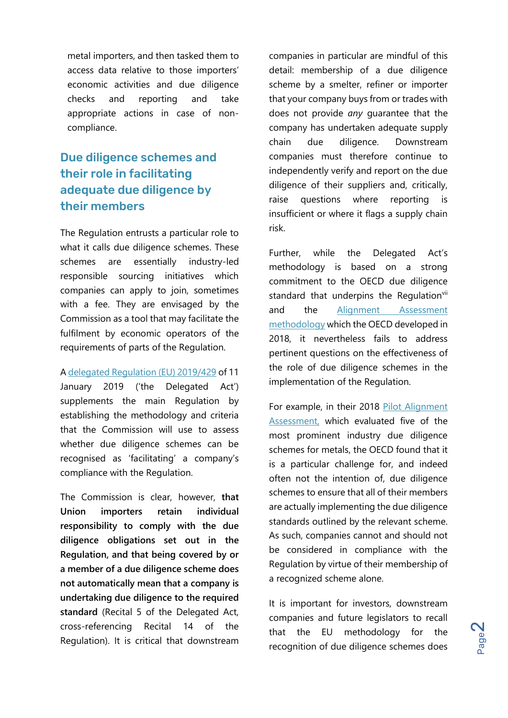metal importers, and then tasked them to access data relative to those importers' economic activities and due diligence checks and reporting and take appropriate actions in case of noncompliance.

## Due diligence schemes and their role in facilitating adequate due diligence by their members

The Regulation entrusts a particular role to what it calls due diligence schemes. These schemes are essentially industry-led responsible sourcing initiatives which companies can apply to join, sometimes with a fee. They are envisaged by the Commission as a tool that may facilitate the fulfilment by economic operators of the requirements of parts of the Regulation.

A [delegated Regulation \(EU\) 2019/429](https://eur-lex.europa.eu/legal-content/EN/TXT/PDF/?uri=CELEX:32019R0429&rid=1) of 11 January 2019 ('the Delegated Act') supplements the main Regulation by establishing the methodology and criteria that the Commission will use to assess whether due diligence schemes can be recognised as 'facilitating' a company's compliance with the Regulation.

The Commission is clear, however, **that Union importers retain individual responsibility to comply with the due diligence obligations set out in the Regulation, and that being covered by or a member of a due diligence scheme does not automatically mean that a company is undertaking due diligence to the required standard** (Recital 5 of the Delegated Act, cross-referencing Recital 14 of the Regulation). It is critical that downstream companies in particular are mindful of this detail: membership of a due diligence scheme by a smelter, refiner or importer that your company buys from or trades with does not provide *any* guarantee that the company has undertaken adequate supply chain due diligence. Downstream companies must therefore continue to independently verify and report on the due diligence of their suppliers and, critically, raise questions where reporting is insufficient or where it flags a supply chain risk.

Further, while the Delegated Act's methodology is based on a strong commitment to the OECD due diligence standard that underpins the Regulation<sup>vii</sup> and the [Alignment Assessment](http://mneguidelines.oecd.org/industry-initiatives-alignment-assessment.htm)  [methodology](http://mneguidelines.oecd.org/industry-initiatives-alignment-assessment.htm) which the OECD developed in 2018, it nevertheless fails to address pertinent questions on the effectiveness of the role of due diligence schemes in the implementation of the Regulation.

For example, in their 2018 [Pilot Alignment](http://mneguidelines.oecd.org/industry-initiatives-alignment-assessment.htm)  [Assessment,](http://mneguidelines.oecd.org/industry-initiatives-alignment-assessment.htm) which evaluated five of the most prominent industry due diligence schemes for metals, the OECD found that it is a particular challenge for, and indeed often not the intention of, due diligence schemes to ensure that all of their members are actually implementing the due diligence standards outlined by the relevant scheme. As such, companies cannot and should not be considered in compliance with the Regulation by virtue of their membership of a recognized scheme alone.

It is important for investors, downstream companies and future legislators to recall that the EU methodology for the recognition of due diligence schemes does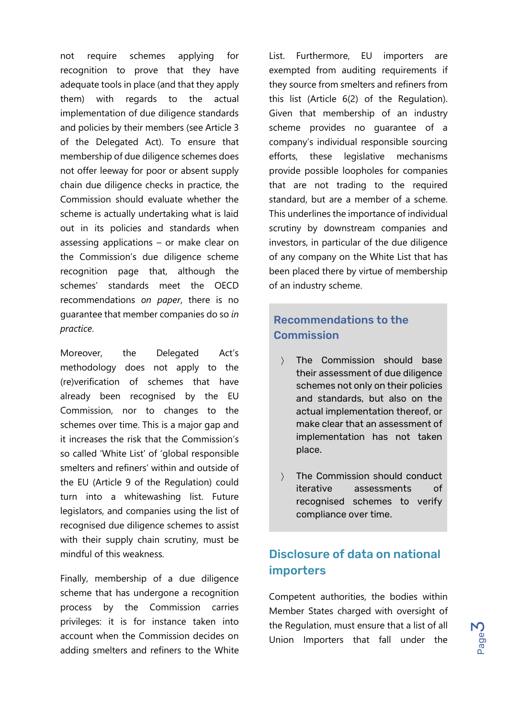not require schemes applying for recognition to prove that they have adequate tools in place (and that they apply them) with regards to the actual implementation of due diligence standards and policies by their members (see Article 3 of the Delegated Act). To ensure that membership of due diligence schemes does not offer leeway for poor or absent supply chain due diligence checks in practice, the Commission should evaluate whether the scheme is actually undertaking what is laid out in its policies and standards when assessing applications – or make clear on the Commission's due diligence scheme recognition page that, although the schemes' standards meet the OECD recommendations *on paper*, there is no guarantee that member companies do so *in practice*.

Moreover, the Delegated Act's methodology does not apply to the (re)verification of schemes that have already been recognised by the EU Commission, nor to changes to the schemes over time. This is a major gap and it increases the risk that the Commission's so called 'White List' of 'global responsible smelters and refiners' within and outside of the EU (Article 9 of the Regulation) could turn into a whitewashing list. Future legislators, and companies using the list of recognised due diligence schemes to assist with their supply chain scrutiny, must be mindful of this weakness.

Finally, membership of a due diligence scheme that has undergone a recognition process by the Commission carries privileges: it is for instance taken into account when the Commission decides on adding smelters and refiners to the White List. Furthermore, EU importers are exempted from auditing requirements if they source from smelters and refiners from this list (Article 6(2) of the Regulation). Given that membership of an industry scheme provides no guarantee of a company's individual responsible sourcing efforts, these legislative mechanisms provide possible loopholes for companies that are not trading to the required standard, but are a member of a scheme. This underlines the importance of individual scrutiny by downstream companies and investors, in particular of the due diligence of any company on the White List that has been placed there by virtue of membership of an industry scheme.

#### Recommendations to the Commission

- The Commission should base their assessment of due diligence schemes not only on their policies and standards, but also on the actual implementation thereof, or make clear that an assessment of implementation has not taken place.
- > The Commission should conduct iterative assessments of recognised schemes to verify compliance over time.

## Disclosure of data on national importers

Competent authorities, the bodies within Member States charged with oversight of the Regulation, must ensure that a list of all Union Importers that fall under the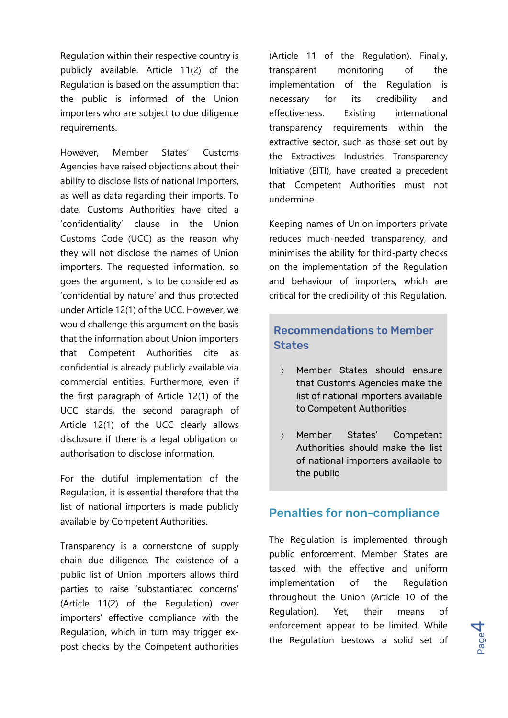Regulation within their respective country is publicly available. Article 11(2) of the Regulation is based on the assumption that the public is informed of the Union importers who are subject to due diligence requirements.

However, Member States' Customs Agencies have raised objections about their ability to disclose lists of national importers, as well as data regarding their imports. To date, Customs Authorities have cited a 'confidentiality' clause in the Union Customs Code (UCC) as the reason why they will not disclose the names of Union importers. The requested information, so goes the argument, is to be considered as 'confidential by nature' and thus protected under Article 12(1) of the UCC. However, we would challenge this argument on the basis that the information about Union importers that Competent Authorities cite as confidential is already publicly available via commercial entities. Furthermore, even if the first paragraph of Article 12(1) of the UCC stands, the second paragraph of Article 12(1) of the UCC clearly allows disclosure if there is a legal obligation or authorisation to disclose information.

For the dutiful implementation of the Regulation, it is essential therefore that the list of national importers is made publicly available by Competent Authorities.

Transparency is a cornerstone of supply chain due diligence. The existence of a public list of Union importers allows third parties to raise 'substantiated concerns' (Article 11(2) of the Regulation) over importers' effective compliance with the Regulation, which in turn may trigger expost checks by the Competent authorities

(Article 11 of the Regulation). Finally, transparent monitoring of the implementation of the Regulation is necessary for its credibility and effectiveness. Existing international transparency requirements within the extractive sector, such as those set out by the Extractives Industries Transparency Initiative (EITI), have created a precedent that Competent Authorities must not undermine.

Keeping names of Union importers private reduces much-needed transparency, and minimises the ability for third-party checks on the implementation of the Regulation and behaviour of importers, which are critical for the credibility of this Regulation.

#### Recommendations to Member **States**

- Member States should ensure that Customs Agencies make the list of national importers available to Competent Authorities
- Member States' Competent Authorities should make the list of national importers available to the public

#### Penalties for non-compliance

The Regulation is implemented through public enforcement. Member States are tasked with the effective and uniform implementation of the Regulation throughout the Union (Article 10 of the Regulation). Yet, their means of enforcement appear to be limited. While the Regulation bestows a solid set of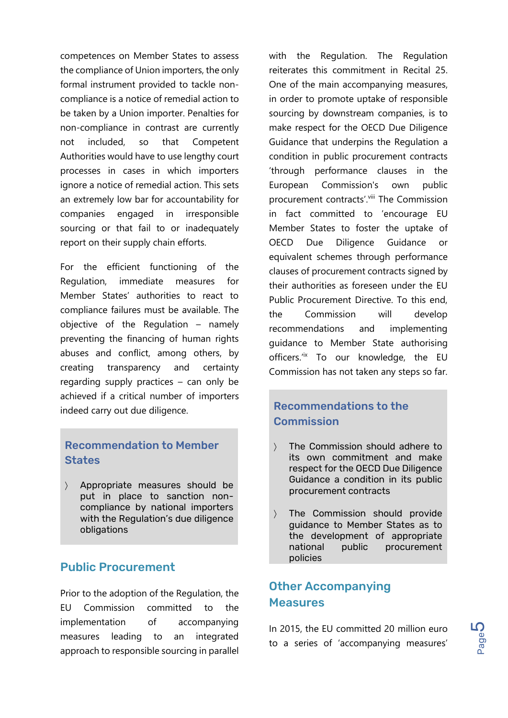competences on Member States to assess the compliance of Union importers, the only formal instrument provided to tackle noncompliance is a notice of remedial action to be taken by a Union importer. Penalties for non-compliance in contrast are currently not included, so that Competent Authorities would have to use lengthy court processes in cases in which importers ignore a notice of remedial action. This sets an extremely low bar for accountability for companies engaged in irresponsible sourcing or that fail to or inadequately report on their supply chain efforts.

For the efficient functioning of the Regulation, immediate measures for Member States' authorities to react to compliance failures must be available. The objective of the Regulation – namely preventing the financing of human rights abuses and conflict, among others, by creating transparency and certainty regarding supply practices – can only be achieved if a critical number of importers indeed carry out due diligence.

#### Recommendation to Member **States**

 Appropriate measures should be put in place to sanction noncompliance by national importers with the Regulation's due diligence obligations

#### Public Procurement

Prior to the adoption of the Regulation, the EU Commission committed to the implementation of accompanying measures leading to an integrated approach to responsible sourcing in parallel with the Regulation. The Regulation reiterates this commitment in Recital 25. One of the main accompanying measures, in order to promote uptake of responsible sourcing by downstream companies, is to make respect for the OECD Due Diligence Guidance that underpins the Regulation a condition in public procurement contracts 'through performance clauses in the European Commission's own public procurement contracts'. Vill The Commission in fact committed to 'encourage EU Member States to foster the uptake of OECD Due Diligence Guidance or equivalent schemes through performance clauses of procurement contracts signed by their authorities as foreseen under the EU Public Procurement Directive. To this end, the Commission will develop recommendations and implementing guidance to Member State authorising officers.<sup>"</sup> To our knowledge, the EU Commission has not taken any steps so far.

### Recommendations to the **Commission**

- The Commission should adhere to its own commitment and make respect for the OECD Due Diligence Guidance a condition in its public procurement contracts
- The Commission should provide guidance to Member States as to the development of appropriate national public procurement policies

## Other Accompanying **Measures**

In 2015, the EU committed 20 million euro to a series of 'accompanying measures'

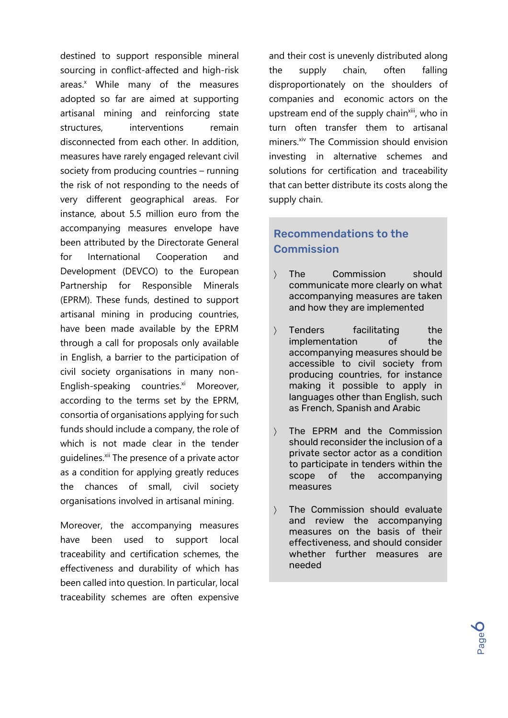destined to support responsible mineral sourcing in conflict-affected and high-risk areas.<sup>x</sup> While many of the measures adopted so far are aimed at supporting artisanal mining and reinforcing state structures, interventions remain disconnected from each other. In addition measures have rarely engaged relevant civil society from producing countries – running the risk of not responding to the needs of very different geographical areas. For instance, about 5.5 million euro from the accompanying measures envelope have been attributed by the Directorate General for International Cooperation and Development (DEVCO) to the European Partnership for Responsible Minerals (EPRM). These funds, destined to support artisanal mining in producing countries, have been made available by the EPRM through a call for proposals only available in English, a barrier to the participation of civil society organisations in many non-English-speaking countries. $x_i$  Moreover, according to the terms set by the EPRM, consortia of organisations applying for such funds should include a company, the role of which is not made clear in the tender guidelines.<sup>xii</sup> The presence of a private actor as a condition for applying greatly reduces the chances of small, civil society organisations involved in artisanal mining.

Moreover, the accompanying measures have been used to support local traceability and certification schemes, the effectiveness and durability of which has been called into question. In particular, local traceability schemes are often expensive and their cost is unevenly distributed along the supply chain, often falling disproportionately on the shoulders of companies and economic actors on the upstream end of the supply chain<sup>xiii</sup>, who in turn often transfer them to artisanal miners.<sup>xiv</sup> The Commission should envision investing in alternative schemes and solutions for certification and traceability that can better distribute its costs along the supply chain.

### Recommendations to the **Commission**

- The Commission should communicate more clearly on what accompanying measures are taken and how they are implemented
- > Tenders facilitating the implementation of the accompanying measures should be accessible to civil society from producing countries, for instance making it possible to apply in languages other than English, such as French, Spanish and Arabic
- The EPRM and the Commission should reconsider the inclusion of a private sector actor as a condition to participate in tenders within the scope of the accompanying measures
- The Commission should evaluate and review the accompanying measures on the basis of their effectiveness, and should consider whether further measures are needed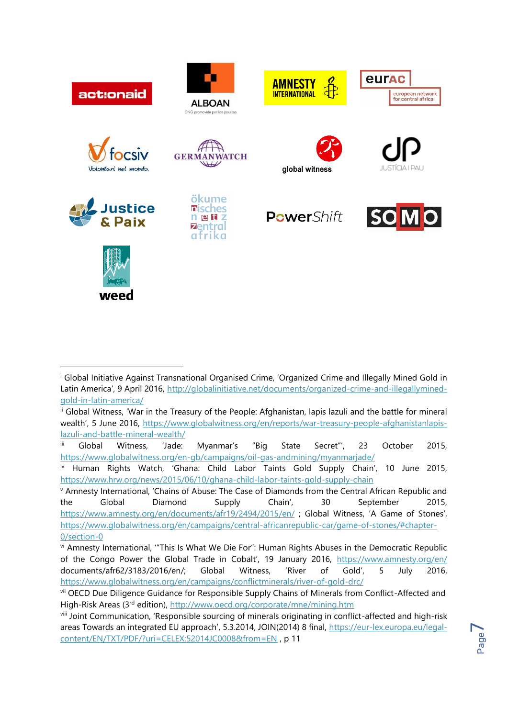

 $\overline{a}$ 

<sup>&</sup>lt;sup>i</sup> Global Initiative Against Transnational Organised Crime, 'Organized Crime and Illegally Mined Gold in Latin America', 9 April 2016, [http://globalinitiative.net/documents/organized-crime-and-illegallymined](http://globalinitiative.net/documents/organized-crime-and-illegallymined-gold-in-latin-america/)[gold-in-latin-america/](http://globalinitiative.net/documents/organized-crime-and-illegallymined-gold-in-latin-america/)

ii Global Witness, 'War in the Treasury of the People: Afghanistan, lapis lazuli and the battle for mineral wealth', 5 June 2016, [https://www.globalwitness.org/en/reports/war-treasury-people-afghanistanlapis](https://www.globalwitness.org/en/reports/war-treasury-people-afghanistanlapis-lazuli-and-battle-mineral-wealth/)[lazuli-and-battle-mineral-wealth/](https://www.globalwitness.org/en/reports/war-treasury-people-afghanistanlapis-lazuli-and-battle-mineral-wealth/)

iii Global Witness, 'Jade: Myanmar's "Big State Secret"', 23 October 2015, <https://www.globalwitness.org/en-gb/campaigns/oil-gas-andmining/myanmarjade/>

iv Human Rights Watch, 'Ghana: Child Labor Taints Gold Supply Chain', 10 June 2015, <https://www.hrw.org/news/2015/06/10/ghana-child-labor-taints-gold-supply-chain>

<sup>v</sup> Amnesty International, 'Chains of Abuse: The Case of Diamonds from the Central African Republic and the Global Diamond Supply Chain', 30 September 2015, <https://www.amnesty.org/en/documents/afr19/2494/2015/en/> ; Global Witness, 'A Game of Stones', [https://www.globalwitness.org/en/campaigns/central-africanrepublic-car/game-of-stones/#chapter-](https://www.globalwitness.org/en/campaigns/central-africanrepublic-car/game-of-stones/#chapter-0/section-0)[0/section-0](https://www.globalwitness.org/en/campaigns/central-africanrepublic-car/game-of-stones/#chapter-0/section-0)

vi Amnesty International, '"This Is What We Die For": Human Rights Abuses in the Democratic Republic of the Congo Power the Global Trade in Cobalt', 19 January 2016, <https://www.amnesty.org/en/> documents/afr62/3183/2016/en/; Global Witness, 'River of Gold', 5 July 2016, <https://www.globalwitness.org/en/campaigns/conflictminerals/river-of-gold-drc/>

vii OECD Due Diligence Guidance for Responsible Supply Chains of Minerals from Conflict-Affected and High-Risk Areas (3rd edition),<http://www.oecd.org/corporate/mne/mining.htm>

viii Joint Communication, 'Responsible sourcing of minerals originating in conflict-affected and high-risk areas Towards an integrated EU approach', 5.3.2014, JOIN(2014) 8 final, [https://eur-lex.europa.eu/legal](https://eur-lex.europa.eu/legal-content/EN/TXT/PDF/?uri=CELEX:52014JC0008&from=EN)[content/EN/TXT/PDF/?uri=CELEX:52014JC0008&from=EN](https://eur-lex.europa.eu/legal-content/EN/TXT/PDF/?uri=CELEX:52014JC0008&from=EN) , p 11